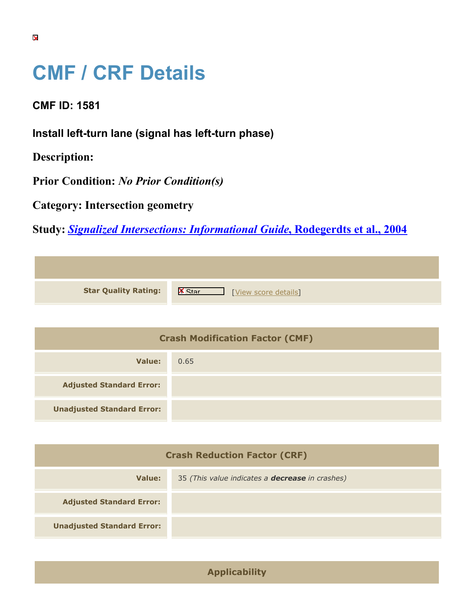## **CMF / CRF Details**

**CMF ID: 1581**

**Install left-turn lane (signal has left-turn phase)**

**Description:** 

**Prior Condition:** *No Prior Condition(s)*

**Category: Intersection geometry**

**Study:** *[Signalized Intersections: Informational Guide](https://cmfclearinghouse.org/study_detail.cfm?stid=82)***[, Rodegerdts et al., 2004](https://cmfclearinghouse.org/study_detail.cfm?stid=82)**

| <b>Star Quality Rating:</b> | - IX<br>[View score details] |
|-----------------------------|------------------------------|

| <b>Crash Modification Factor (CMF)</b> |      |
|----------------------------------------|------|
| Value:                                 | 0.65 |
| <b>Adjusted Standard Error:</b>        |      |
| <b>Unadjusted Standard Error:</b>      |      |

| <b>Crash Reduction Factor (CRF)</b> |                                                        |
|-------------------------------------|--------------------------------------------------------|
| Value:                              | 35 (This value indicates a <b>decrease</b> in crashes) |
| <b>Adjusted Standard Error:</b>     |                                                        |
| <b>Unadjusted Standard Error:</b>   |                                                        |

**Applicability**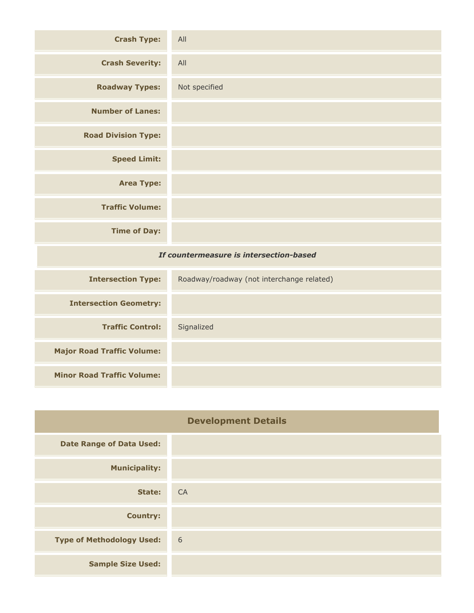| <b>Crash Type:</b>                      | All                                       |
|-----------------------------------------|-------------------------------------------|
| <b>Crash Severity:</b>                  | All                                       |
| <b>Roadway Types:</b>                   | Not specified                             |
| <b>Number of Lanes:</b>                 |                                           |
| <b>Road Division Type:</b>              |                                           |
| <b>Speed Limit:</b>                     |                                           |
| <b>Area Type:</b>                       |                                           |
| <b>Traffic Volume:</b>                  |                                           |
| <b>Time of Day:</b>                     |                                           |
| If countermeasure is intersection-based |                                           |
| <b>Intersection Type:</b>               | Roadway/roadway (not interchange related) |
| <b>Intersection Geometry:</b>           |                                           |
| <b>Traffic Control:</b>                 | Signalized                                |

| <b>Major Road Traffic Volume:</b><br><b>Minor Road Traffic Volume:</b> |  |
|------------------------------------------------------------------------|--|
|                                                                        |  |
|                                                                        |  |

| <b>Development Details</b>       |    |
|----------------------------------|----|
| <b>Date Range of Data Used:</b>  |    |
| <b>Municipality:</b>             |    |
| <b>State:</b>                    | CA |
| <b>Country:</b>                  |    |
| <b>Type of Methodology Used:</b> | 6  |
| <b>Sample Size Used:</b>         |    |